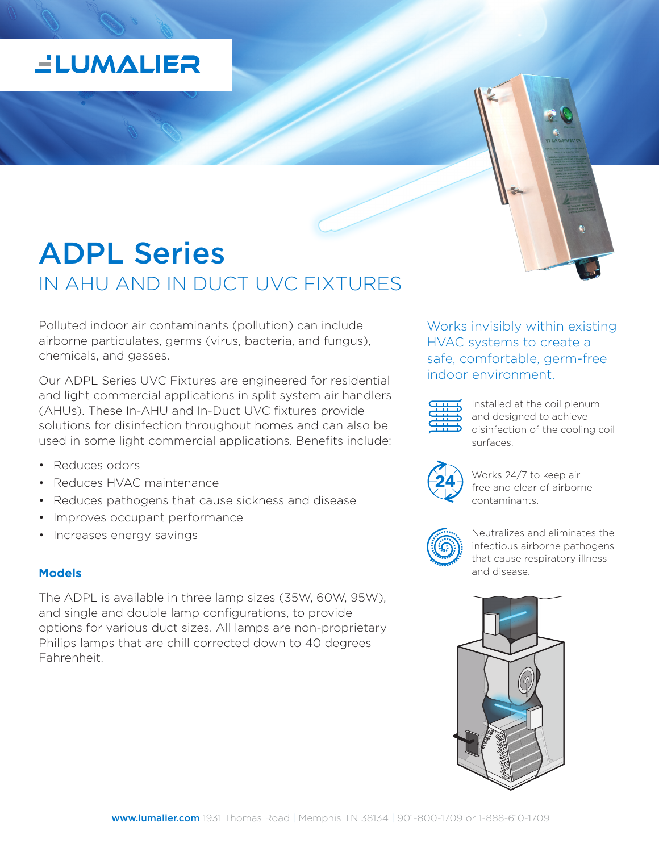# **ELUMALIER**

# ADPL Series IN AHU AND IN DUCT UVC FIXTURES

Polluted indoor air contaminants (pollution) can include airborne particulates, germs (virus, bacteria, and fungus), chemicals, and gasses.

Our ADPL Series UVC Fixtures are engineered for residential and light commercial applications in split system air handlers (AHUs). These In-AHU and In-Duct UVC fixtures provide solutions for disinfection throughout homes and can also be used in some light commercial applications. Benefits include:

- Reduces odors
- Reduces HVAC maintenance
- Reduces pathogens that cause sickness and disease
- Improves occupant performance
- Increases energy savings

### **Models**

The ADPL is available in three lamp sizes (35W, 60W, 95W), and single and double lamp configurations, to provide options for various duct sizes. All lamps are non-proprietary Philips lamps that are chill corrected down to 40 degrees Fahrenheit.

Works invisibly within existing HVAC systems to create a safe, comfortable, germ-free indoor environment.



Installed at the coil plenum and designed to achieve disinfection of the cooling coil surfaces.



Works 24/7 to keep air free and clear of airborne contaminants.



Neutralizes and eliminates the infectious airborne pathogens that cause respiratory illness and disease.